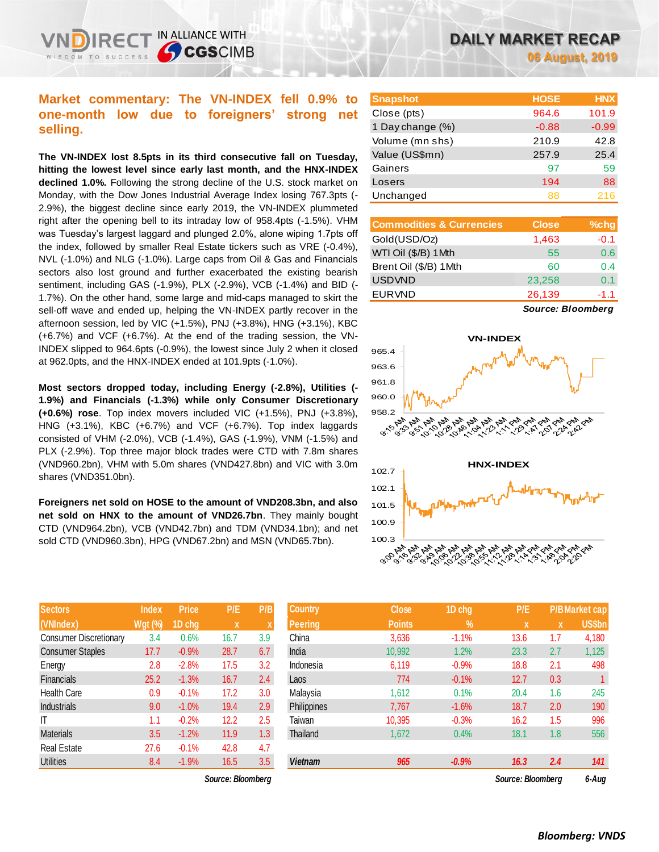# **Market commentary: The VN-INDEX fell 0.9% to one-month low due to foreigners' strong net selling.**

IN ALLIANCE WITH

**SCGSCIMB** 

**The VN-INDEX lost 8.5pts in its third consecutive fall on Tuesday, hitting the lowest level since early last month, and the HNX-INDEX declined 1.0%.** Following the strong decline of the U.S. stock market on Monday, with the Dow Jones Industrial Average Index losing 767.3pts (- 2.9%), the biggest decline since early 2019, the VN-INDEX plummeted right after the opening bell to its intraday low of 958.4pts (-1.5%). VHM was Tuesday's largest laggard and plunged 2.0%, alone wiping 1.7pts off the index, followed by smaller Real Estate tickers such as VRE (-0.4%), NVL (-1.0%) and NLG (-1.0%). Large caps from Oil & Gas and Financials sectors also lost ground and further exacerbated the existing bearish sentiment, including GAS (-1.9%), PLX (-2.9%), VCB (-1.4%) and BID (- 1.7%). On the other hand, some large and mid-caps managed to skirt the sell-off wave and ended up, helping the VN-INDEX partly recover in the afternoon session, led by VIC (+1.5%), PNJ (+3.8%), HNG (+3.1%), KBC (+6.7%) and VCF (+6.7%). At the end of the trading session, the VN-INDEX slipped to 964.6pts (-0.9%), the lowest since July 2 when it closed at 962.0pts, and the HNX-INDEX ended at 101.9pts (-1.0%).

**Most sectors dropped today, including Energy (-2.8%), Utilities (- 1.9%) and Financials (-1.3%) while only Consumer Discretionary (+0.6%) rose**. Top index movers included VIC (+1.5%), PNJ (+3.8%), HNG (+3.1%), KBC (+6.7%) and VCF (+6.7%). Top index laggards consisted of VHM (-2.0%), VCB (-1.4%), GAS (-1.9%), VNM (-1.5%) and PLX (-2.9%). Top three major block trades were CTD with 7.8m shares (VND960.2bn), VHM with 5.0m shares (VND427.8bn) and VIC with 3.0m shares (VND351.0bn).

**Foreigners net sold on HOSE to the amount of VND208.3bn, and also net sold on HNX to the amount of VND26.7bn**. They mainly bought CTD (VND964.2bn), VCB (VND42.7bn) and TDM (VND34.1bn); and net sold CTD (VND960.3bn), HPG (VND67.2bn) and MSN (VND65.7bn).

| <b>Sectors</b>                | <b>Index</b>   | <b>Price</b> | P/E  | P/B |
|-------------------------------|----------------|--------------|------|-----|
| (VNIndex)                     | <b>Wgt (%)</b> | 1D chg       | X    | X   |
| <b>Consumer Discretionary</b> | 3.4            | 0.6%         | 16.7 | 3.9 |
| <b>Consumer Staples</b>       | 17.7           | $-0.9%$      | 28.7 | 6.7 |
| Energy                        | 2.8            | $-2.8%$      | 17.5 | 3.2 |
| <b>Financials</b>             | 25.2           | $-1.3%$      | 16.7 | 2.4 |
| <b>Health Care</b>            | 0.9            | $-0.1%$      | 17.2 | 3.0 |
| <b>Industrials</b>            | 9.0            | $-1.0%$      | 19.4 | 2.9 |
| ıτ                            | 1.1            | $-0.2%$      | 12.2 | 2.5 |
| <b>Materials</b>              | 3.5            | $-1.2%$      | 11.9 | 1.3 |
| <b>Real Estate</b>            | 27.6           | $-0.1%$      | 42.8 | 4.7 |
| <b>Utilities</b>              | 8.4            | $-1.9%$      | 16.5 | 3.5 |

| <b>Snapshot</b>  | <b>HOSE</b> | <b>HNX</b> |
|------------------|-------------|------------|
| Close (pts)      | 964.6       | 101.9      |
| 1 Day change (%) | $-0.88$     | $-0.99$    |
| Volume (mn shs)  | 210.9       | 42.8       |
| Value (US\$mn)   | 257.9       | 25.4       |
| Gainers          | 97          | 59         |
| Losers           | 194         | 88         |
| Unchanged        | 88          | 216        |

| <b>Commodities &amp; Currencies</b> | <b>Close</b> | $%$ chg |
|-------------------------------------|--------------|---------|
| Gold(USD/Oz)                        | 1,463        | $-0.1$  |
| WTI Oil (\$/B) 1Mth                 | 55           | 0.6     |
| Brent Oil (\$/B) 1Mth               | 60           | 0.4     |
| <b>USDVND</b>                       | 23,258       | 0.1     |
| <b>EURVND</b>                       | 26,139       | $-1.1$  |

*Source: Bloomberg*



| <b>Sectors</b>          | <b>Index</b>   | <b>Price</b> | P/E               | P/B | <b>Country</b> | <b>Close</b>  | 1D chg     | P/E               |     | <b>P/B Market cap</b> |
|-------------------------|----------------|--------------|-------------------|-----|----------------|---------------|------------|-------------------|-----|-----------------------|
| (VNIndex)               | <b>Wgt (%)</b> | 1D chg       | $\mathbf{x}$      |     | Peering        | <b>Points</b> | $\sqrt{2}$ | X                 | X   | US\$bn                |
| Consumer Discretionary  | 3.4            | 0.6%         | 16.7              | 3.9 | China          | 3,636         | $-1.1%$    | 13.6              | 1.7 | 4,180                 |
| <b>Consumer Staples</b> | 17.7           | $-0.9%$      | 28.7              | 6.7 | India          | 10,992        | 1.2%       | 23.3              | 2.7 | 1,125                 |
| Energy                  | 2.8            | $-2.8%$      | 17.5              | 3.2 | Indonesia      | 6,119         | $-0.9%$    | 18.8              | 2.1 | 498                   |
| Financials              | 25.2           | $-1.3%$      | 16.7              | 2.4 | Laos           | 774           | $-0.1%$    | 12.7              | 0.3 |                       |
| Health Care             | 0.9            | $-0.1%$      | 17.2              | 3.0 | Malaysia       | 1,612         | 0.1%       | 20.4              | 1.6 | 245                   |
| Industrials             | 9.0            | $-1.0%$      | 19.4              | 2.9 | Philippines    | 7,767         | $-1.6%$    | 18.7              | 2.0 | 190                   |
| Τ                       | 1.1            | $-0.2%$      | 12.2              | 2.5 | Taiwan         | 10,395        | $-0.3%$    | 16.2              | 1.5 | 996                   |
| Materials               | 3.5            | $-1.2%$      | 11.9              | 1.3 | Thailand       | 1,672         | 0.4%       | 18.1              | 1.8 | 556                   |
| Real Estate             | 27.6           | $-0.1%$      | 42.8              | 4.7 |                |               |            |                   |     |                       |
| Utilities               | 8.4            | $-1.9%$      | 16.5              | 3.5 | <b>Vietnam</b> | 965           | $-0.9%$    | 16.3              | 2.4 | 141                   |
|                         |                |              | Source: Bloombera |     |                |               |            | Source: Bloombera |     | 6-Aua                 |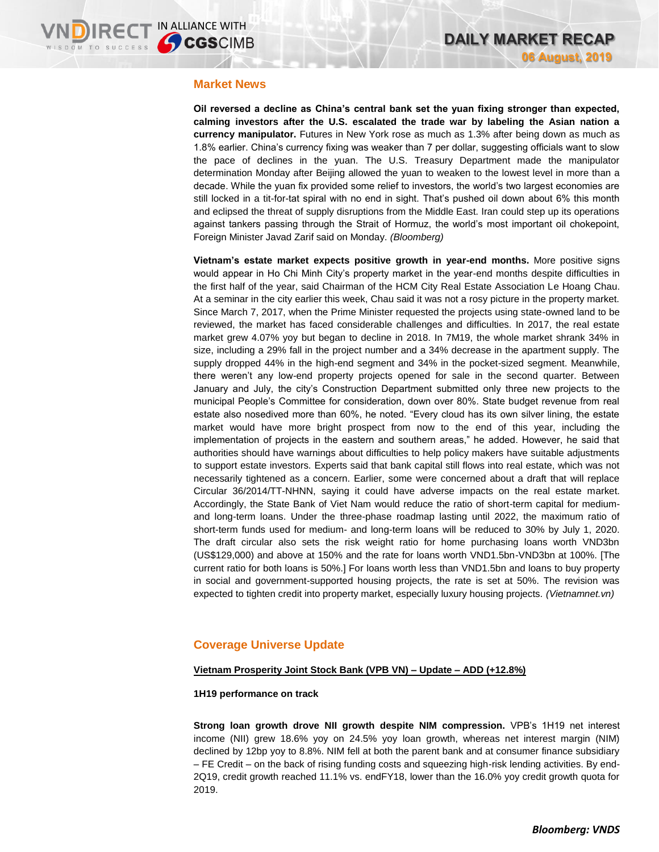## **Market News**

**Oil reversed a decline as China's central bank set the yuan fixing stronger than expected, calming investors after the U.S. escalated the trade war by labeling the Asian nation a currency manipulator.** Futures in New York rose as much as 1.3% after being down as much as 1.8% earlier. China's currency fixing was weaker than 7 per dollar, suggesting officials want to slow the pace of declines in the yuan. The U.S. Treasury Department made the manipulator determination Monday after Beijing allowed the yuan to weaken to the lowest level in more than a decade. While the yuan fix provided some relief to investors, the world's two largest economies are still locked in a tit-for-tat spiral with no end in sight. That's pushed oil down about 6% this month and eclipsed the threat of supply disruptions from the Middle East. Iran could step up its operations against tankers passing through the Strait of Hormuz, the world's most important oil chokepoint, Foreign Minister Javad Zarif said on Monday. *(Bloomberg)*

**Vietnam's estate market expects positive growth in year-end months.** More positive signs would appear in Ho Chi Minh City's property market in the year-end months despite difficulties in the first half of the year, said Chairman of the HCM City Real Estate Association Le Hoang Chau. At a seminar in the city earlier this week, Chau said it was not a rosy picture in the property market. Since March 7, 2017, when the Prime Minister requested the projects using state-owned land to be reviewed, the market has faced considerable challenges and difficulties. In 2017, the real estate market grew 4.07% yoy but began to decline in 2018. In 7M19, the whole market shrank 34% in size, including a 29% fall in the project number and a 34% decrease in the apartment supply. The supply dropped 44% in the high-end segment and 34% in the pocket-sized segment. Meanwhile, there weren't any low-end property projects opened for sale in the second quarter. Between January and July, the city's Construction Department submitted only three new projects to the municipal People's Committee for consideration, down over 80%. State budget revenue from real estate also nosedived more than 60%, he noted. "Every cloud has its own silver lining, the estate market would have more bright prospect from now to the end of this year, including the implementation of projects in the eastern and southern areas," he added. However, he said that authorities should have warnings about difficulties to help policy makers have suitable adjustments to support estate investors. Experts said that bank capital still flows into real estate, which was not necessarily tightened as a concern. Earlier, some were concerned about a draft that will replace Circular 36/2014/TT-NHNN, saying it could have adverse impacts on the real estate market. Accordingly, the State Bank of Viet Nam would reduce the ratio of short-term capital for mediumand long-term loans. Under the three-phase roadmap lasting until 2022, the maximum ratio of short-term funds used for medium- and long-term loans will be reduced to 30% by July 1, 2020. The draft circular also sets the risk weight ratio for home purchasing loans worth VND3bn (US\$129,000) and above at 150% and the rate for loans worth VND1.5bn-VND3bn at 100%. [The current ratio for both loans is 50%.] For loans worth less than VND1.5bn and loans to buy property in social and government-supported housing projects, the rate is set at 50%. The revision was expected to tighten credit into property market, especially luxury housing projects. *(Vietnamnet.vn)*

# **Coverage Universe Update**

## **Vietnam Prosperity Joint Stock Bank (VPB VN) – Update – ADD (+12.8%)**

### **1H19 performance on track**

**Strong loan growth drove NII growth despite NIM compression.** VPB's 1H19 net interest income (NII) grew 18.6% yoy on 24.5% yoy loan growth, whereas net interest margin (NIM) declined by 12bp yoy to 8.8%. NIM fell at both the parent bank and at consumer finance subsidiary – FE Credit – on the back of rising funding costs and squeezing high-risk lending activities. By end-2Q19, credit growth reached 11.1% vs. endFY18, lower than the 16.0% yoy credit growth quota for 2019.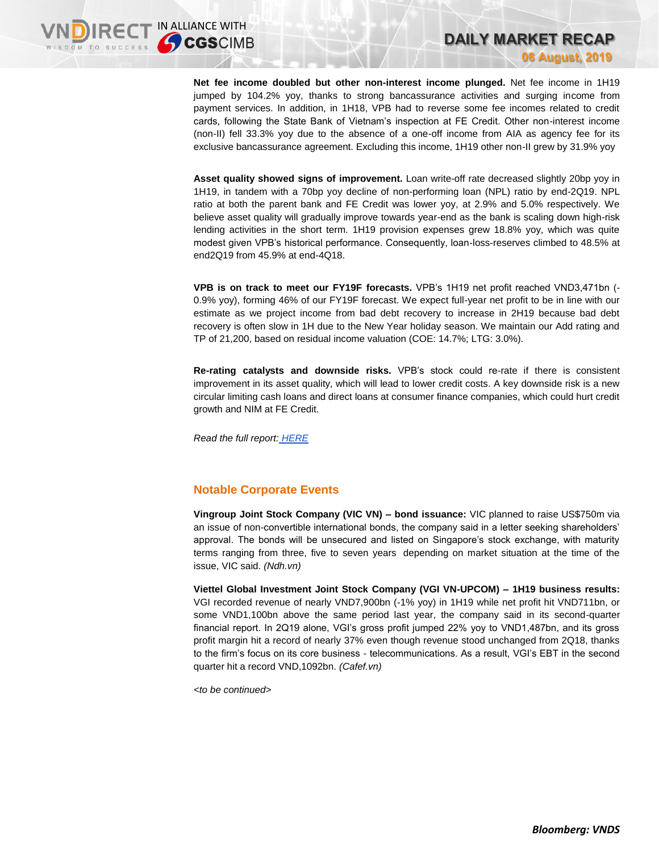**Net fee income doubled but other non-interest income plunged.** Net fee income in 1H19 jumped by 104.2% yoy, thanks to strong bancassurance activities and surging income from payment services. In addition, in 1H18, VPB had to reverse some fee incomes related to credit cards, following the State Bank of Vietnam's inspection at FE Credit. Other non-interest income (non-II) fell 33.3% yoy due to the absence of a one-off income from AIA as agency fee for its exclusive bancassurance agreement. Excluding this income, 1H19 other non-II grew by 31.9% yoy

**DAILY MARKET RECAP** 

**06 August, 2019**

**Asset quality showed signs of improvement.** Loan write-off rate decreased slightly 20bp yoy in 1H19, in tandem with a 70bp yoy decline of non-performing loan (NPL) ratio by end-2Q19. NPL ratio at both the parent bank and FE Credit was lower yoy, at 2.9% and 5.0% respectively. We believe asset quality will gradually improve towards year-end as the bank is scaling down high-risk lending activities in the short term. 1H19 provision expenses grew 18.8% yoy, which was quite modest given VPB's historical performance. Consequently, loan-loss-reserves climbed to 48.5% at end2Q19 from 45.9% at end-4Q18.

**VPB is on track to meet our FY19F forecasts.** VPB's 1H19 net profit reached VND3,471bn (- 0.9% yoy), forming 46% of our FY19F forecast. We expect full-year net profit to be in line with our estimate as we project income from bad debt recovery to increase in 2H19 because bad debt recovery is often slow in 1H due to the New Year holiday season. We maintain our Add rating and TP of 21,200, based on residual income valuation (COE: 14.7%; LTG: 3.0%).

**Re-rating catalysts and downside risks.** VPB's stock could re-rate if there is consistent improvement in its asset quality, which will lead to lower credit costs. A key downside risk is a new circular limiting cash loans and direct loans at consumer finance companies, which could hurt credit growth and NIM at FE Credit.

*Read the full report: [HERE](https://brokingrfs.cimb.com/VjH1aKZMn7IFgMErEWvgUWzOScRg4fdWAV1kfFO9Ulb8Q0h1B-iXdBGS3pHUwYxF-l8MYiZo7RmFSDAr0.pdf)*

# **Notable Corporate Events**

**Vingroup Joint Stock Company (VIC VN) – bond issuance:** VIC planned to raise US\$750m via an issue of non-convertible international bonds, the company said in a letter seeking shareholders' approval. The bonds will be unsecured and listed on Singapore's stock exchange, with maturity terms ranging from three, five to seven years depending on market situation at the time of the issue, VIC said. *(Ndh.vn)*

**Viettel Global Investment Joint Stock Company (VGI VN-UPCOM) – 1H19 business results:**  VGI recorded revenue of nearly VND7,900bn (-1% yoy) in 1H19 while net profit hit VND711bn, or some VND1,100bn above the same period last year, the company said in its second-quarter financial report. In 2Q19 alone, VGI's gross profit jumped 22% yoy to VND1,487bn, and its gross profit margin hit a record of nearly 37% even though revenue stood unchanged from 2Q18, thanks to the firm's focus on its core business - telecommunications. As a result, VGI's EBT in the second quarter hit a record VND,1092bn. *(Cafef.vn)*

*<to be continued>*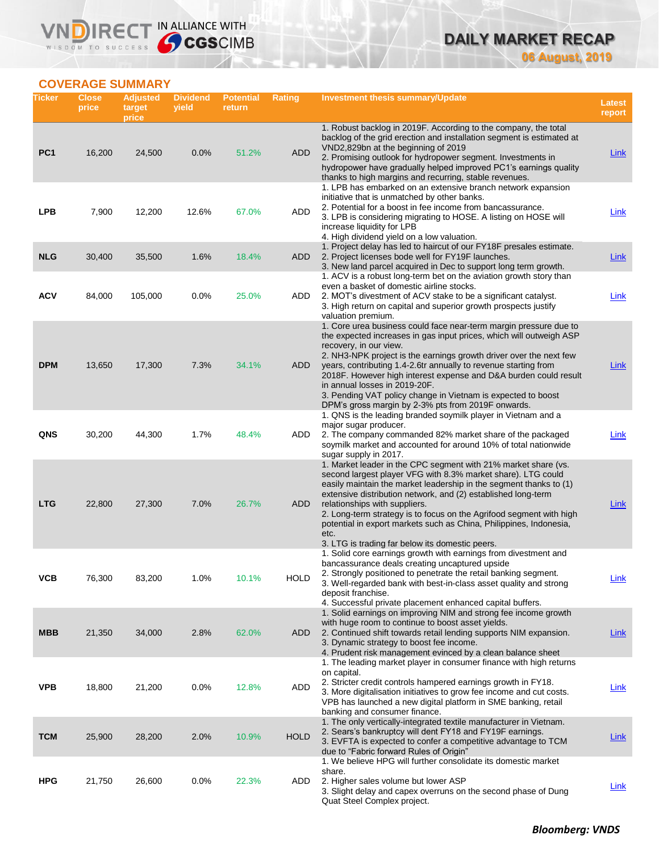# **DAILY MARKET RECAP 06 August, 2019**

**COVERAGE SUMMARY**

WISDOM TO SUCCESS

VND

IRECT IN ALLIANCE WITH

| Ticker          | <b>Close</b><br>price | <b>Adjusted</b><br>target<br>price | <b>Dividend</b><br>yield | <b>Potential</b><br>return | Rating      | <b>Investment thesis summary/Update</b>                                                                                                                                                                                                                                                                                                                                                                                                                                                                                                | Latest<br>report |
|-----------------|-----------------------|------------------------------------|--------------------------|----------------------------|-------------|----------------------------------------------------------------------------------------------------------------------------------------------------------------------------------------------------------------------------------------------------------------------------------------------------------------------------------------------------------------------------------------------------------------------------------------------------------------------------------------------------------------------------------------|------------------|
| PC <sub>1</sub> | 16,200                | 24,500                             | 0.0%                     | 51.2%                      | <b>ADD</b>  | 1. Robust backlog in 2019F. According to the company, the total<br>backlog of the grid erection and installation segment is estimated at<br>VND2,829bn at the beginning of 2019<br>2. Promising outlook for hydropower segment. Investments in<br>hydropower have gradually helped improved PC1's earnings quality                                                                                                                                                                                                                     | <b>Link</b>      |
| <b>LPB</b>      | 7,900                 | 12,200                             | 12.6%                    | 67.0%                      | ADD         | thanks to high margins and recurring, stable revenues.<br>1. LPB has embarked on an extensive branch network expansion<br>initiative that is unmatched by other banks.<br>2. Potential for a boost in fee income from bancassurance.<br>3. LPB is considering migrating to HOSE. A listing on HOSE will<br>increase liquidity for LPB<br>4. High dividend yield on a low valuation.                                                                                                                                                    | Link             |
| <b>NLG</b>      | 30,400                | 35,500                             | 1.6%                     | 18.4%                      | <b>ADD</b>  | 1. Project delay has led to haircut of our FY18F presales estimate.<br>2. Project licenses bode well for FY19F launches.<br>3. New land parcel acquired in Dec to support long term growth.<br>1. ACV is a robust long-term bet on the aviation growth story than                                                                                                                                                                                                                                                                      | Link             |
| <b>ACV</b>      | 84,000                | 105,000                            | 0.0%                     | 25.0%                      | ADD         | even a basket of domestic airline stocks.<br>2. MOT's divestment of ACV stake to be a significant catalyst.<br>3. High return on capital and superior growth prospects justify<br>valuation premium.                                                                                                                                                                                                                                                                                                                                   | <b>Link</b>      |
| <b>DPM</b>      | 13,650                | 17,300                             | 7.3%                     | 34.1%                      | ADD         | 1. Core urea business could face near-term margin pressure due to<br>the expected increases in gas input prices, which will outweigh ASP<br>recovery, in our view.<br>2. NH3-NPK project is the earnings growth driver over the next few<br>years, contributing 1.4-2.6tr annually to revenue starting from<br>2018F. However high interest expense and D&A burden could result<br>in annual losses in 2019-20F.<br>3. Pending VAT policy change in Vietnam is expected to boost<br>DPM's gross margin by 2-3% pts from 2019F onwards. | Link             |
| QNS             | 30,200                | 44,300                             | 1.7%                     | 48.4%                      | ADD         | 1. QNS is the leading branded soymilk player in Vietnam and a<br>major sugar producer.<br>2. The company commanded 82% market share of the packaged<br>soymilk market and accounted for around 10% of total nationwide<br>sugar supply in 2017.                                                                                                                                                                                                                                                                                        | Link             |
| <b>LTG</b>      | 22,800                | 27,300                             | 7.0%                     | 26.7%                      | ADD         | 1. Market leader in the CPC segment with 21% market share (vs.<br>second largest player VFG with 8.3% market share). LTG could<br>easily maintain the market leadership in the segment thanks to (1)<br>extensive distribution network, and (2) established long-term<br>relationships with suppliers.<br>2. Long-term strategy is to focus on the Agrifood segment with high<br>potential in export markets such as China, Philippines, Indonesia,<br>etc.<br>3. LTG is trading far below its domestic peers.                         | Link             |
| ۷СВ             | 76,300                | 83,200                             | 1.0%                     | 10.1%                      | <b>HOLD</b> | 1. Solid core earnings growth with earnings from divestment and<br>bancassurance deals creating uncaptured upside<br>2. Strongly positioned to penetrate the retail banking segment.<br>3. Well-regarded bank with best-in-class asset quality and strong<br>deposit franchise.<br>4. Successful private placement enhanced capital buffers.                                                                                                                                                                                           | <u>Link</u>      |
| <b>MBB</b>      | 21,350                | 34,000                             | 2.8%                     | 62.0%                      | ADD         | 1. Solid earnings on improving NIM and strong fee income growth<br>with huge room to continue to boost asset yields.<br>2. Continued shift towards retail lending supports NIM expansion.<br>3. Dynamic strategy to boost fee income.<br>4. Prudent risk management evinced by a clean balance sheet                                                                                                                                                                                                                                   | Link             |
| <b>VPB</b>      | 18,800                | 21,200                             | 0.0%                     | 12.8%                      | ADD         | 1. The leading market player in consumer finance with high returns<br>on capital.<br>2. Stricter credit controls hampered earnings growth in FY18.<br>3. More digitalisation initiatives to grow fee income and cut costs.<br>VPB has launched a new digital platform in SME banking, retail<br>banking and consumer finance.                                                                                                                                                                                                          | <b>Link</b>      |
| <b>TCM</b>      | 25,900                | 28,200                             | 2.0%                     | 10.9%                      | <b>HOLD</b> | 1. The only vertically-integrated textile manufacturer in Vietnam.<br>2. Sears's bankruptcy will dent FY18 and FY19F earnings.<br>3. EVFTA is expected to confer a competitive advantage to TCM<br>due to "Fabric forward Rules of Origin"                                                                                                                                                                                                                                                                                             | <b>Link</b>      |
| <b>HPG</b>      | 21,750                | 26,600                             | 0.0%                     | 22.3%                      | ADD         | 1. We believe HPG will further consolidate its domestic market<br>share.<br>2. Higher sales volume but lower ASP<br>3. Slight delay and capex overruns on the second phase of Dung<br>Quat Steel Complex project.                                                                                                                                                                                                                                                                                                                      | <b>Link</b>      |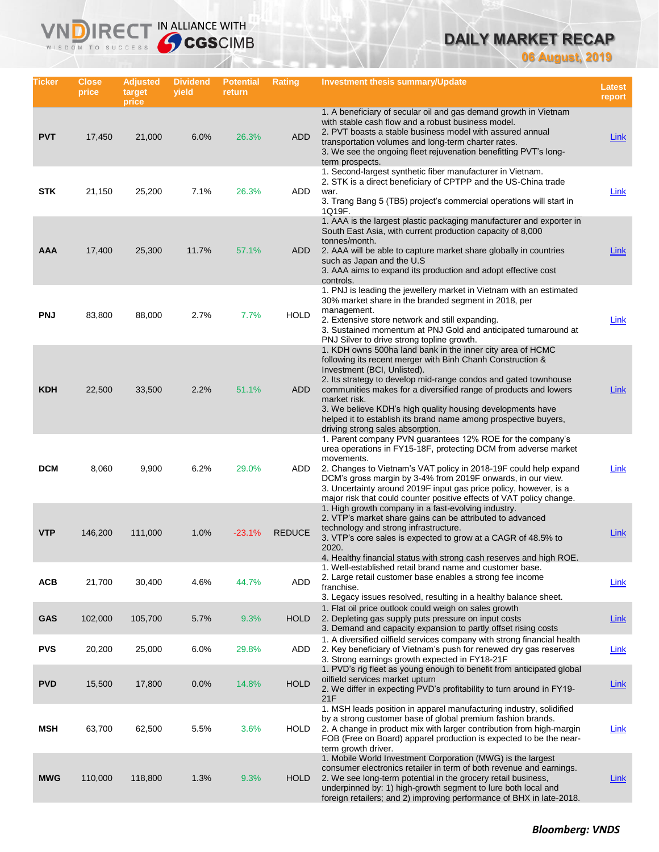# **DAILY MARKET RECAP**

**06 August, 2019**

| Ticker     | Close<br>price | <b>Adjusted</b><br>target<br>price | <b>Dividend</b><br>yield | <b>Potential</b><br>return | Rating        | <b>Investment thesis summary/Update</b>                                                                                                                                                                                                                                                                                                                                                                                                                                             | <b>Latest</b><br>report |
|------------|----------------|------------------------------------|--------------------------|----------------------------|---------------|-------------------------------------------------------------------------------------------------------------------------------------------------------------------------------------------------------------------------------------------------------------------------------------------------------------------------------------------------------------------------------------------------------------------------------------------------------------------------------------|-------------------------|
| <b>PVT</b> | 17,450         | 21,000                             | 6.0%                     | 26.3%                      | <b>ADD</b>    | 1. A beneficiary of secular oil and gas demand growth in Vietnam<br>with stable cash flow and a robust business model.<br>2. PVT boasts a stable business model with assured annual<br>transportation volumes and long-term charter rates.<br>3. We see the ongoing fleet rejuvenation benefitting PVT's long-<br>term prospects.                                                                                                                                                   | <b>Link</b>             |
| <b>STK</b> | 21,150         | 25,200                             | 7.1%                     | 26.3%                      | ADD           | 1. Second-largest synthetic fiber manufacturer in Vietnam.<br>2. STK is a direct beneficiary of CPTPP and the US-China trade<br>war.<br>3. Trang Bang 5 (TB5) project's commercial operations will start in<br>1Q19F.                                                                                                                                                                                                                                                               | Link                    |
| AAA        | 17,400         | 25,300                             | 11.7%                    | 57.1%                      | ADD           | 1. AAA is the largest plastic packaging manufacturer and exporter in<br>South East Asia, with current production capacity of 8,000<br>tonnes/month.<br>2. AAA will be able to capture market share globally in countries<br>such as Japan and the U.S.<br>3. AAA aims to expand its production and adopt effective cost<br>controls.                                                                                                                                                | Link                    |
| <b>PNJ</b> | 83,800         | 88,000                             | 2.7%                     | 7.7%                       | <b>HOLD</b>   | 1. PNJ is leading the jewellery market in Vietnam with an estimated<br>30% market share in the branded segment in 2018, per<br>management.<br>2. Extensive store network and still expanding.<br>3. Sustained momentum at PNJ Gold and anticipated turnaround at<br>PNJ Silver to drive strong topline growth.                                                                                                                                                                      | <b>Link</b>             |
| <b>KDH</b> | 22,500         | 33,500                             | 2.2%                     | 51.1%                      | ADD           | 1. KDH owns 500ha land bank in the inner city area of HCMC<br>following its recent merger with Binh Chanh Construction &<br>Investment (BCI, Unlisted).<br>2. Its strategy to develop mid-range condos and gated townhouse<br>communities makes for a diversified range of products and lowers<br>market risk.<br>3. We believe KDH's high quality housing developments have<br>helped it to establish its brand name among prospective buyers,<br>driving strong sales absorption. | <b>Link</b>             |
| <b>DCM</b> | 8,060          | 9,900                              | 6.2%                     | 29.0%                      | ADD           | 1. Parent company PVN guarantees 12% ROE for the company's<br>urea operations in FY15-18F, protecting DCM from adverse market<br>movements.<br>2. Changes to Vietnam's VAT policy in 2018-19F could help expand<br>DCM's gross margin by 3-4% from 2019F onwards, in our view.<br>3. Uncertainty around 2019F input gas price policy, however, is a<br>major risk that could counter positive effects of VAT policy change.                                                         | Link                    |
| <b>VTP</b> | 146,200        | 111,000                            | 1.0%                     | $-23.1%$                   | <b>REDUCE</b> | 1. High growth company in a fast-evolving industry.<br>2. VTP's market share gains can be attributed to advanced<br>technology and strong infrastructure.<br>3. VTP's core sales is expected to grow at a CAGR of 48.5% to<br>2020.<br>4. Healthy financial status with strong cash reserves and high ROE.                                                                                                                                                                          | Link                    |
| <b>ACB</b> | 21,700         | 30,400                             | 4.6%                     | 44.7%                      | ADD           | 1. Well-established retail brand name and customer base.<br>2. Large retail customer base enables a strong fee income<br>franchise.<br>3. Legacy issues resolved, resulting in a healthy balance sheet.                                                                                                                                                                                                                                                                             | <b>Link</b>             |
| <b>GAS</b> | 102,000        | 105,700                            | 5.7%                     | 9.3%                       | <b>HOLD</b>   | 1. Flat oil price outlook could weigh on sales growth<br>2. Depleting gas supply puts pressure on input costs<br>3. Demand and capacity expansion to partly offset rising costs                                                                                                                                                                                                                                                                                                     | Link                    |
| <b>PVS</b> | 20,200         | 25,000                             | 6.0%                     | 29.8%                      | ADD           | 1. A diversified oilfield services company with strong financial health<br>2. Key beneficiary of Vietnam's push for renewed dry gas reserves<br>3. Strong earnings growth expected in FY18-21F                                                                                                                                                                                                                                                                                      | Link                    |
| <b>PVD</b> | 15,500         | 17,800                             | 0.0%                     | 14.8%                      | <b>HOLD</b>   | 1. PVD's rig fleet as young enough to benefit from anticipated global<br>oilfield services market upturn<br>2. We differ in expecting PVD's profitability to turn around in FY19-<br>21F                                                                                                                                                                                                                                                                                            | <b>Link</b>             |
| <b>MSH</b> | 63,700         | 62,500                             | 5.5%                     | 3.6%                       | HOLD          | 1. MSH leads position in apparel manufacturing industry, solidified<br>by a strong customer base of global premium fashion brands.<br>2. A change in product mix with larger contribution from high-margin<br>FOB (Free on Board) apparel production is expected to be the near-<br>term growth driver.                                                                                                                                                                             | <b>Link</b>             |
| <b>MWG</b> | 110,000        | 118,800                            | 1.3%                     | 9.3%                       | <b>HOLD</b>   | 1. Mobile World Investment Corporation (MWG) is the largest<br>consumer electronics retailer in term of both revenue and earnings.<br>2. We see long-term potential in the grocery retail business,<br>underpinned by: 1) high-growth segment to lure both local and<br>foreign retailers; and 2) improving performance of BHX in late-2018.                                                                                                                                        | <u>Link</u>             |

**VNDIRECT IN ALLIANCE WITH**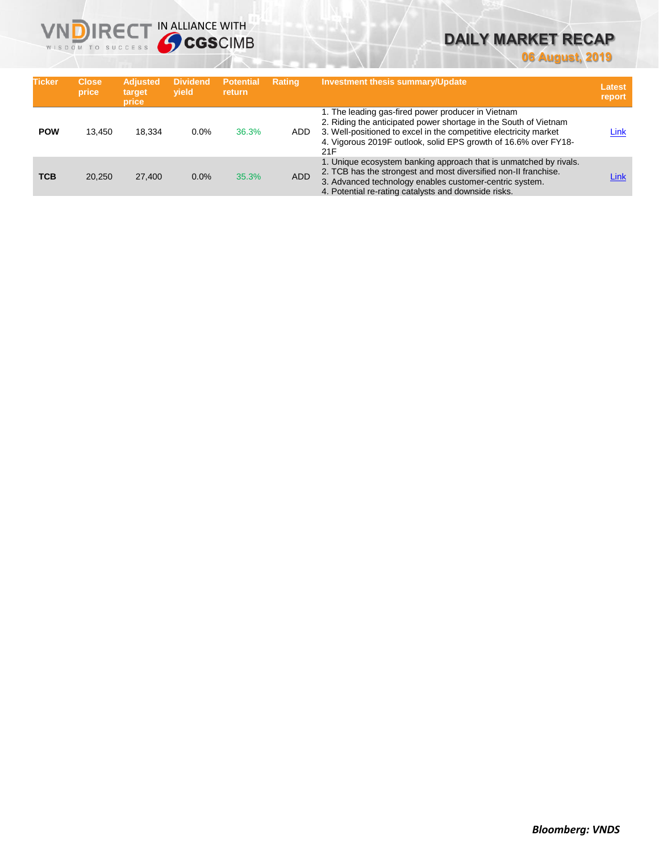# **DAILY MARKET RECAP**

**06 August, 2019**

| <b>Ticker</b> | <b>Close</b><br>price | <b>Adjusted</b><br>target<br>price | <b>Dividend</b><br>vield | <b>Potential</b><br><b>return</b> | <b>Rating</b> | <b>Investment thesis summary/Update</b>                                                                                                                                                                                                                               | Latest<br>report |
|---------------|-----------------------|------------------------------------|--------------------------|-----------------------------------|---------------|-----------------------------------------------------------------------------------------------------------------------------------------------------------------------------------------------------------------------------------------------------------------------|------------------|
| <b>POW</b>    | 13.450                | 18.334                             | 0.0%                     | 36.3%                             | ADD.          | 1. The leading gas-fired power producer in Vietnam<br>2. Riding the anticipated power shortage in the South of Vietnam<br>3. Well-positioned to excel in the competitive electricity market<br>4. Vigorous 2019F outlook, solid EPS growth of 16.6% over FY18-<br>21F | Link             |
| <b>TCB</b>    | 20.250                | 27,400                             | 0.0%                     | 35.3%                             | <b>ADD</b>    | 1. Unique ecosystem banking approach that is unmatched by rivals.<br>2. TCB has the strongest and most diversified non-II franchise.<br>3. Advanced technology enables customer-centric system.<br>4. Potential re-rating catalysts and downside risks.               | Link             |

**VNDIRECT IN ALLIANCE WITH**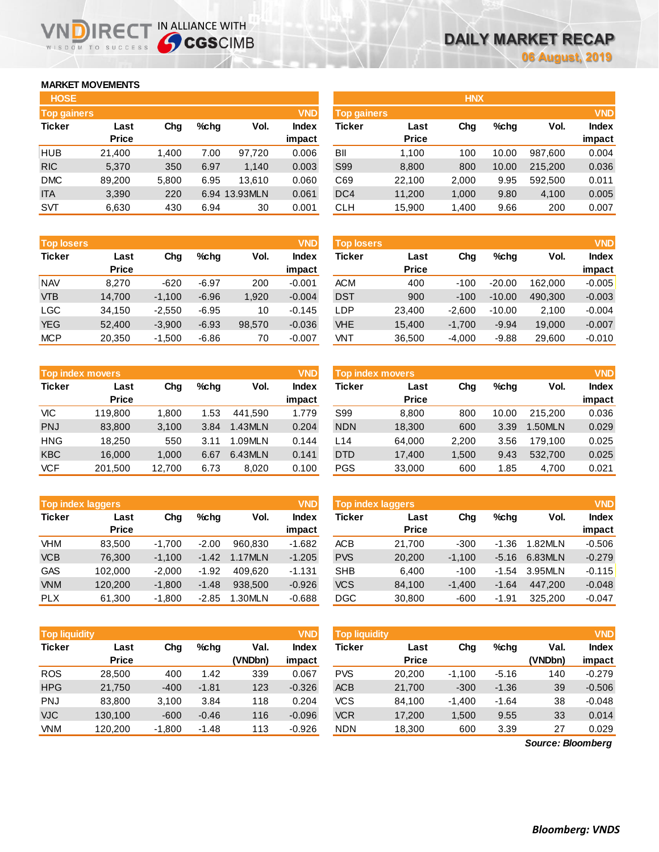## **MARKET MOVEMENTS**

WISDOM TO SUCCESS

| <b>HOSE</b>        |              |       |      |               |              |
|--------------------|--------------|-------|------|---------------|--------------|
| <b>Top gainers</b> |              |       |      |               | <b>VND</b>   |
| <b>Ticker</b>      | Last         | Cha   | %chq | Vol.          | <b>Index</b> |
|                    | <b>Price</b> |       |      |               | impact       |
| <b>HUB</b>         | 21,400       | 1,400 | 7.00 | 97,720        | 0.006        |
| <b>RIC</b>         | 5,370        | 350   | 6.97 | 1,140         | 0.003        |
| <b>DMC</b>         | 89,200       | 5,800 | 6.95 | 13.610        | 0.060        |
| <b>ITA</b>         | 3.390        | 220   |      | 6.94 13.93MLN | 0.061        |
| <b>SVT</b>         | 6,630        | 430   | 6.94 | 30            | 0.001        |

NDIRECT IN ALLIANCE WITH

| <b>Top losers</b> |              |          |         |        | <b>VND</b>   |
|-------------------|--------------|----------|---------|--------|--------------|
| <b>Ticker</b>     | Last         | Cha      | %chq    | Vol.   | <b>Index</b> |
|                   | <b>Price</b> |          |         |        | impact       |
| <b>NAV</b>        | 8,270        | $-620$   | $-6.97$ | 200    | $-0.001$     |
| <b>VTB</b>        | 14,700       | $-1,100$ | $-6.96$ | 1,920  | $-0.004$     |
| LGC               | 34,150       | $-2,550$ | $-6.95$ | 10     | $-0.145$     |
| <b>YEG</b>        | 52,400       | $-3,900$ | $-6.93$ | 98,570 | $-0.036$     |
| <b>MCP</b>        | 20,350       | $-1,500$ | $-6.86$ | 70     | $-0.007$     |

| <b>Top index movers</b> |              |        |      |         |              |  |  |  |  |
|-------------------------|--------------|--------|------|---------|--------------|--|--|--|--|
| <b>Ticker</b>           | Last         | Cha    | %chq | Vol.    | <b>Index</b> |  |  |  |  |
|                         | <b>Price</b> |        |      |         | impact       |  |  |  |  |
| VIC                     | 119,800      | 1,800  | 1.53 | 441.590 | 1.779        |  |  |  |  |
| <b>PNJ</b>              | 83,800       | 3,100  | 3.84 | 1.43MLN | 0.204        |  |  |  |  |
| <b>HNG</b>              | 18.250       | 550    | 3.11 | 1.09MLN | 0.144        |  |  |  |  |
| <b>KBC</b>              | 16.000       | 1,000  | 6.67 | 6.43MLN | 0.141        |  |  |  |  |
| <b>VCF</b>              | 201,500      | 12,700 | 6.73 | 8,020   | 0.100        |  |  |  |  |

|               | <b>VND</b><br><b>Top index laggers</b> |          |         |         |              |  |  |  |  |  |
|---------------|----------------------------------------|----------|---------|---------|--------------|--|--|--|--|--|
| <b>Ticker</b> | Last                                   | Cha      | %chq    | Vol.    | <b>Index</b> |  |  |  |  |  |
|               | <b>Price</b>                           |          |         |         | impact       |  |  |  |  |  |
| <b>VHM</b>    | 83,500                                 | $-1,700$ | $-2.00$ | 960,830 | $-1.682$     |  |  |  |  |  |
| <b>VCB</b>    | 76,300                                 | $-1,100$ | $-1.42$ | 1.17MLN | $-1.205$     |  |  |  |  |  |
| <b>GAS</b>    | 102,000                                | $-2,000$ | $-1.92$ | 409.620 | $-1.131$     |  |  |  |  |  |
| <b>VNM</b>    | 120,200                                | $-1,800$ | $-1.48$ | 938,500 | $-0.926$     |  |  |  |  |  |
| <b>PLX</b>    | 61,300                                 | $-1,800$ | $-2.85$ | 1.30MLN | $-0.688$     |  |  |  |  |  |

| <b>Top liquidity</b> |                      |          |         |                 | <b>VND</b>      | <b>Top liquidity</b> |                      |          |         |                   | <b>VND</b>             |
|----------------------|----------------------|----------|---------|-----------------|-----------------|----------------------|----------------------|----------|---------|-------------------|------------------------|
| <b>Ticker</b>        | Last<br><b>Price</b> | Chg      | %chq    | Val.<br>(VNDbn) | Index<br>impact | <b>Ticker</b>        | Last<br><b>Price</b> | Chg      | $%$ chq | Val.<br>(VNDbn)   | <b>Index</b><br>impact |
| <b>ROS</b>           | 28.500               | 400      | 1.42    | 339             | 0.067           | <b>PVS</b>           | 20,200               | $-1.100$ | $-5.16$ | 140               | $-0.279$               |
| <b>HPG</b>           | 21,750               | $-400$   | $-1.81$ | 123             | $-0.326$        | <b>ACB</b>           | 21,700               | $-300$   | $-1.36$ | 39                | $-0.506$               |
| <b>PNJ</b>           | 83.800               | 3,100    | 3.84    | 118             | 0.204           | <b>VCS</b>           | 84.100               | $-1,400$ | $-1.64$ | 38                | $-0.048$               |
| <b>VJC</b>           | 130.100              | $-600$   | $-0.46$ | 116             | $-0.096$        | <b>VCR</b>           | 17.200               | 1,500    | 9.55    | 33                | 0.014                  |
| VNM                  | 120,200              | $-1,800$ | $-1.48$ | 113             | $-0.926$        | <b>NDN</b>           | 18,300               | 600      | 3.39    | 27                | 0.029                  |
|                      |                      |          |         |                 |                 |                      |                      |          |         | Source: Bloomberg |                        |

| <b>HOSE</b>        |              |       |      |               |              |                    |              | <b>HNX</b> |         |         |              |
|--------------------|--------------|-------|------|---------------|--------------|--------------------|--------------|------------|---------|---------|--------------|
| <b>Top gainers</b> |              |       |      |               | <b>VND</b>   | <b>Top gainers</b> |              |            |         |         | <b>VND</b>   |
| Ticker             | Last         | Chg   | %chg | Vol.          | <b>Index</b> | Ticker             | Last         | Chg        | $%$ chg | Vol.    | <b>Index</b> |
|                    | <b>Price</b> |       |      |               | impact       |                    | <b>Price</b> |            |         |         | impact       |
| HUB                | 21,400       | 1.400 | 7.00 | 97.720        | 0.006        | BII                | 1.100        | 100        | 10.00   | 987,600 | 0.004        |
| <b>RIC</b>         | 5,370        | 350   | 6.97 | 1,140         | 0.003        | S99                | 8,800        | 800        | 10.00   | 215,200 | 0.036        |
| <b>DMC</b>         | 89,200       | 5,800 | 6.95 | 13.610        | 0.060        | C69                | 22,100       | 2,000      | 9.95    | 592,500 | 0.011        |
| <b>ITA</b>         | 3,390        | 220   |      | 6.94 13.93MLN | 0.061        | DC4                | 11,200       | 1,000      | 9.80    | 4,100   | 0.005        |
| <b>SVT</b>         | 6,630        | 430   | 6.94 | 30            | 0.001        | <b>CLH</b>         | 15,900       | 1,400      | 9.66    | 200     | 0.007        |
|                    |              |       |      |               |              |                    |              |            |         |         |              |

| <b>Top losers</b> |                      |          |         |        | <b>VND</b>             | <b>Top losers</b> |                      |          |          |         | <b>VND</b>             |
|-------------------|----------------------|----------|---------|--------|------------------------|-------------------|----------------------|----------|----------|---------|------------------------|
| Ticker            | Last<br><b>Price</b> | Chg      | $%$ chq | Vol.   | <b>Index</b><br>impact | Ticker            | Last<br><b>Price</b> | Chg      | $%$ chq  | Vol.    | <b>Index</b><br>impact |
| <b>NAV</b>        | 8.270                | $-620$   | $-6.97$ | 200    | $-0.001$               | <b>ACM</b>        | 400                  | $-100$   | $-20.00$ | 162.000 | $-0.005$               |
| <b>VTB</b>        | 14,700               | $-1,100$ | $-6.96$ | 1,920  | $-0.004$               | <b>DST</b>        | 900                  | $-100$   | $-10.00$ | 490,300 | $-0.003$               |
| LGC               | 34,150               | $-2,550$ | $-6.95$ | 10     | $-0.145$               | ∟DP.              | 23,400               | $-2,600$ | $-10.00$ | 2,100   | $-0.004$               |
| YEG               | 52,400               | $-3,900$ | $-6.93$ | 98,570 | $-0.036$               | <b>VHE</b>        | 15,400               | $-1,700$ | $-9.94$  | 19,000  | $-0.007$               |
| <b>MCP</b>        | 20,350               | $-1,500$ | $-6.86$ | 70     | $-0.007$               | VNT               | 36,500               | $-4,000$ | $-9.88$  | 29,600  | $-0.010$               |
|                   |                      |          |         |        |                        |                   |                      |          |          |         |                        |

| <b>VND</b><br>Top index movers |                      |        |      |         |                        | <b>Top index movers</b> |                      | <b>VND</b> |         |         |                        |
|--------------------------------|----------------------|--------|------|---------|------------------------|-------------------------|----------------------|------------|---------|---------|------------------------|
| Ticker                         | Last<br><b>Price</b> | Chg    | %chq | Vol.    | <b>Index</b><br>impact | Ticker                  | Last<br><b>Price</b> | Chg        | $%$ chq | Vol.    | <b>Index</b><br>impact |
| VIC                            | 119,800              | 1.800  | 1.53 | 441.590 | 1.779                  | S99                     | 8.800                | 800        | 10.00   | 215.200 | 0.036                  |
| PNJ                            | 83,800               | 3.100  | 3.84 | 1.43MLN | 0.204                  | <b>NDN</b>              | 18,300               | 600        | 3.39    | 1.50MLN | 0.029                  |
| HNG                            | 18.250               | 550    | 3.11 | 1.09MLN | 0.144                  | L14                     | 64.000               | 2,200      | 3.56    | 179.100 | 0.025                  |
| <b>KBC</b>                     | 16.000               | 1.000  | 6.67 | 6.43MLN | 0.141                  | <b>DTD</b>              | 17,400               | 1.500      | 9.43    | 532.700 | 0.025                  |
| <b>VCF</b>                     | 201,500              | 12,700 | 6.73 | 8,020   | 0.100                  | <b>PGS</b>              | 33,000               | 600        | 85. ا   | 4,700   | 0.021                  |

|            | <b>Top index laggers</b> |          |         |         | <b>VND</b> | <b>Top index laggers</b> |              |          |         |         |              |
|------------|--------------------------|----------|---------|---------|------------|--------------------------|--------------|----------|---------|---------|--------------|
| Ticker     | Last                     | Chg      | %chq    | Vol.    | Index      | Ticker                   | Last         | Chg      | $%$ chq | Vol.    | <b>Index</b> |
|            | <b>Price</b>             |          |         |         | impact     |                          | <b>Price</b> |          |         |         | impact       |
| VHM        | 83.500                   | $-1.700$ | $-2.00$ | 960.830 | $-1.682$   | ACB                      | 21.700       | $-300$   | $-1.36$ | 1.82MLN | $-0.506$     |
| <b>VCB</b> | 76.300                   | $-1.100$ | $-1.42$ | 1.17MLN | $-1.205$   | <b>PVS</b>               | 20,200       | $-1.100$ | $-5.16$ | 6.83MLN | $-0.279$     |
| GAS        | 102.000                  | $-2.000$ | $-1.92$ | 409.620 | $-1.131$   | <b>SHB</b>               | 6.400        | $-100$   | $-1.54$ | 3.95MLN | $-0.115$     |
| <b>VNM</b> | 120,200                  | $-1.800$ | $-1.48$ | 938,500 | $-0.926$   | <b>VCS</b>               | 84.100       | $-1.400$ | $-1.64$ | 447.200 | $-0.048$     |
| <b>PLX</b> | 61.300                   | $-1.800$ | $-2.85$ | 1.30MLN | $-0.688$   | <b>DGC</b>               | 30,800       | $-600$   | $-1.91$ | 325.200 | $-0.047$     |

| <b>Top liquidity</b> |              |          |         |         | <b>VND</b>   |
|----------------------|--------------|----------|---------|---------|--------------|
| <b>Ticker</b>        | Last         | Cha      | %chq    | Val.    | <b>Index</b> |
|                      | <b>Price</b> |          |         | (VNDbn) | impact       |
| <b>PVS</b>           | 20,200       | $-1,100$ | $-5.16$ | 140     | $-0.279$     |
| <b>ACB</b>           | 21,700       | $-300$   | $-1.36$ | 39      | $-0.506$     |
| <b>VCS</b>           | 84,100       | $-1,400$ | $-1.64$ | 38      | $-0.048$     |
| <b>VCR</b>           | 17,200       | 1,500    | 9.55    | 33      | 0.014        |
| <b>NDN</b>           | 18,300       | 600      | 3.39    | 27      | 0.029        |

*Source: Bloomberg*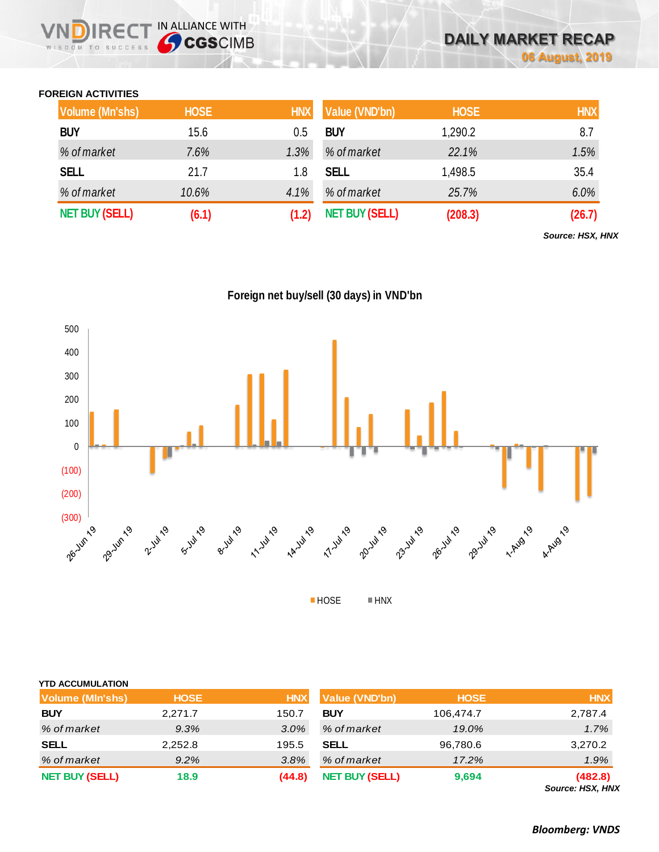## **FOREIGN ACTIVITIES**

WISDOM TO SUCCESS

**IRECT IN ALLIANCE WITH** 

| <b>Volume (Mn'shs)</b> | <b>HOSE</b> | <b>HNX</b> | Value (VND'bn)        | <b>HOSE</b> | <b>HNX</b> |
|------------------------|-------------|------------|-----------------------|-------------|------------|
| <b>BUY</b>             | 15.6        | 0.5        | <b>BUY</b>            | 1,290.2     | 8.7        |
| % of market            | 7.6%        | 1.3%       | % of market           | 22.1%       | 1.5%       |
| <b>SELL</b>            | 21.7        | 1.8        | <b>SELL</b>           | 1,498.5     | 35.4       |
| % of market            | 10.6%       | 4.1%       | % of market           | 25.7%       | 6.0%       |
| <b>NET BUY (SELL)</b>  | (6.1)       | (1.2)      | <b>NET BUY (SELL)</b> | (208.3)     | (26.7)     |

*Source: HSX, HNX*

**Foreign net buy/sell (30 days) in VND'bn**



| <b>YTD ACCUMULATION</b> |             |            |                       |             |                             |
|-------------------------|-------------|------------|-----------------------|-------------|-----------------------------|
| <b>Volume (MIn'shs)</b> | <b>HOSE</b> | <b>HNX</b> | <b>Value (VND'bn)</b> | <b>HOSE</b> | <b>HNX</b>                  |
| <b>BUY</b>              | 2,271.7     | 150.7      | <b>BUY</b>            | 106,474.7   | 2,787.4                     |
| % of market             | 9.3%        | $3.0\%$    | % of market           | 19.0%       | 1.7%                        |
| <b>SELL</b>             | 2,252.8     | 195.5      | SELL                  | 96,780.6    | 3,270.2                     |
| % of market             | 9.2%        | 3.8%       | % of market           | 17.2%       | 1.9%                        |
| <b>NET BUY (SELL)</b>   | 18.9        | (44.8)     | <b>NET BUY (SELL)</b> | 9,694       | (482.8)<br>Source: HSX, HNX |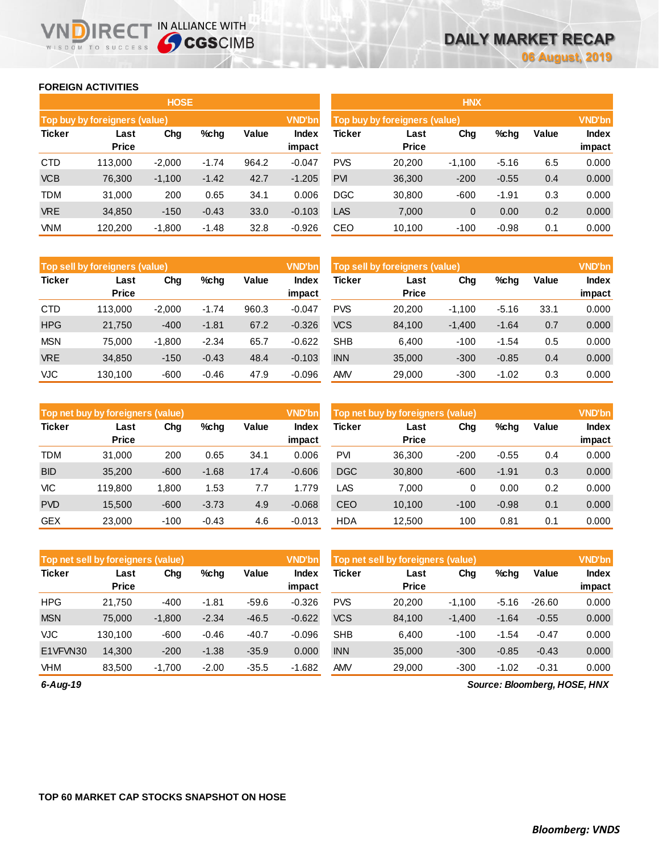## **FOREIGN ACTIVITIES**

WISDOM TO SUCCESS

**VNDIRECT IN ALLIANCE WITH** 

|               |                               | <b>HOSE</b> |         |       |                        | <b>HNX</b>                    |                      |          |         |       |                        |  |
|---------------|-------------------------------|-------------|---------|-------|------------------------|-------------------------------|----------------------|----------|---------|-------|------------------------|--|
|               | Top buy by foreigners (value) |             |         |       | <b>VND'bn</b>          | Top buy by foreigners (value) |                      |          |         |       |                        |  |
| <b>Ticker</b> | Last<br><b>Price</b>          | Chg         | $%$ chg | Value | <b>Index</b><br>impact | <b>Ticker</b>                 | Last<br><b>Price</b> | Chg      | %chg    | Value | <b>Index</b><br>impact |  |
| <b>CTD</b>    | 113.000                       | $-2,000$    | $-1.74$ | 964.2 | $-0.047$               | <b>PVS</b>                    | 20,200               | $-1,100$ | $-5.16$ | 6.5   | 0.000                  |  |
| <b>VCB</b>    | 76,300                        | $-1,100$    | $-1.42$ | 42.7  | $-1.205$               | <b>PVI</b>                    | 36,300               | $-200$   | $-0.55$ | 0.4   | 0.000                  |  |
| <b>TDM</b>    | 31,000                        | 200         | 0.65    | 34.1  | 0.006                  | <b>DGC</b>                    | 30,800               | $-600$   | $-1.91$ | 0.3   | 0.000                  |  |
| <b>VRE</b>    | 34,850                        | $-150$      | $-0.43$ | 33.0  | $-0.103$               | <b>LAS</b>                    | 7,000                | 0        | 0.00    | 0.2   | 0.000                  |  |
| <b>VNM</b>    | 120,200                       | $-1,800$    | $-1.48$ | 32.8  | $-0.926$               | CEO                           | 10,100               | $-100$   | $-0.98$ | 0.1   | 0.000                  |  |

|               | Top sell by foreigners (value) |          |         |       | <b>VND'bn</b>   | Top sell by foreigners (value) |                      | <b>VND'bn</b> |         |       |                        |
|---------------|--------------------------------|----------|---------|-------|-----------------|--------------------------------|----------------------|---------------|---------|-------|------------------------|
| <b>Ticker</b> | Last<br><b>Price</b>           | Chg      | %chg    | Value | Index<br>impact | Ticker                         | Last<br><b>Price</b> | Chg           | %chg    | Value | <b>Index</b><br>impact |
| <b>CTD</b>    | 113,000                        | $-2.000$ | $-1.74$ | 960.3 | $-0.047$        | <b>PVS</b>                     | 20,200               | $-1,100$      | $-5.16$ | 33.1  | 0.000                  |
| <b>HPG</b>    | 21,750                         | $-400$   | $-1.81$ | 67.2  | $-0.326$        | <b>VCS</b>                     | 84.100               | $-1,400$      | $-1.64$ | 0.7   | 0.000                  |
| <b>MSN</b>    | 75.000                         | $-1.800$ | $-2.34$ | 65.7  | $-0.622$        | <b>SHB</b>                     | 6.400                | $-100$        | $-1.54$ | 0.5   | 0.000                  |
| <b>VRE</b>    | 34,850                         | $-150$   | $-0.43$ | 48.4  | $-0.103$        | <b>INN</b>                     | 35,000               | $-300$        | $-0.85$ | 0.4   | 0.000                  |
| VJC           | 130,100                        | $-600$   | $-0.46$ | 47.9  | $-0.096$        | <b>AMV</b>                     | 29,000               | $-300$        | $-1.02$ | 0.3   | 0.000                  |

|               | Top net buy by foreigners (value) |        |         |       | <b>VND'bn</b>   | <b>VND'bn</b><br>Top net buy by foreigners (value) |                      |        |         |       |                        |
|---------------|-----------------------------------|--------|---------|-------|-----------------|----------------------------------------------------|----------------------|--------|---------|-------|------------------------|
| <b>Ticker</b> | Last<br><b>Price</b>              | Chg    | $%$ chg | Value | Index<br>impact | Ticker                                             | Last<br><b>Price</b> | Chg    | %chg    | Value | <b>Index</b><br>impact |
| <b>TDM</b>    | 31,000                            | 200    | 0.65    | 34.1  | 0.006           | <b>PVI</b>                                         | 36,300               | $-200$ | $-0.55$ | 0.4   | 0.000                  |
| <b>BID</b>    | 35,200                            | $-600$ | $-1.68$ | 17.4  | $-0.606$        | <b>DGC</b>                                         | 30,800               | $-600$ | $-1.91$ | 0.3   | 0.000                  |
| <b>VIC</b>    | 119.800                           | 1,800  | 1.53    | 7.7   | l.779           | LAS                                                | 7.000                | 0      | 0.00    | 0.2   | 0.000                  |
| <b>PVD</b>    | 15.500                            | $-600$ | $-3.73$ | 4.9   | $-0.068$        | <b>CEO</b>                                         | 10.100               | $-100$ | $-0.98$ | 0.1   | 0.000                  |
| <b>GEX</b>    | 23,000                            | $-100$ | $-0.43$ | 4.6   | $-0.013$        | <b>HDA</b>                                         | 12,500               | 100    | 0.81    | 0.1   | 0.000                  |

| Top net sell by foreigners (value) |                      |          |         |         | <b>VND'bn</b>   | Top net sell by foreigners (value) |                      |          |         |          |                        |
|------------------------------------|----------------------|----------|---------|---------|-----------------|------------------------------------|----------------------|----------|---------|----------|------------------------|
| <b>Ticker</b>                      | Last<br><b>Price</b> | Chg      | $%$ chg | Value   | Index<br>impact | Ticker                             | Last<br><b>Price</b> | Chg      | %chg    | Value    | <b>Index</b><br>impact |
| <b>HPG</b>                         | 21.750               | $-400$   | $-1.81$ | $-59.6$ | $-0.326$        | <b>PVS</b>                         | 20,200               | $-1,100$ | $-5.16$ | $-26.60$ | 0.000                  |
| <b>MSN</b>                         | 75.000               | $-1,800$ | $-2.34$ | $-46.5$ | $-0.622$        | <b>VCS</b>                         | 84.100               | $-1,400$ | $-1.64$ | $-0.55$  | 0.000                  |
| <b>VJC</b>                         | 130.100              | $-600$   | $-0.46$ | $-40.7$ | $-0.096$        | <b>SHB</b>                         | 6.400                | $-100$   | $-1.54$ | $-0.47$  | 0.000                  |
| E1VFVN30                           | 14.300               | $-200$   | $-1.38$ | $-35.9$ | 0.000           | <b>INN</b>                         | 35,000               | $-300$   | $-0.85$ | $-0.43$  | 0.000                  |
| <b>VHM</b>                         | 83,500               | $-1.700$ | $-2.00$ | $-35.5$ | $-1.682$        | <b>AMV</b>                         | 29,000               | $-300$   | $-1.02$ | $-0.31$  | 0.000                  |

*6-Aug-19*

*Source: Bloomberg, HOSE, HNX*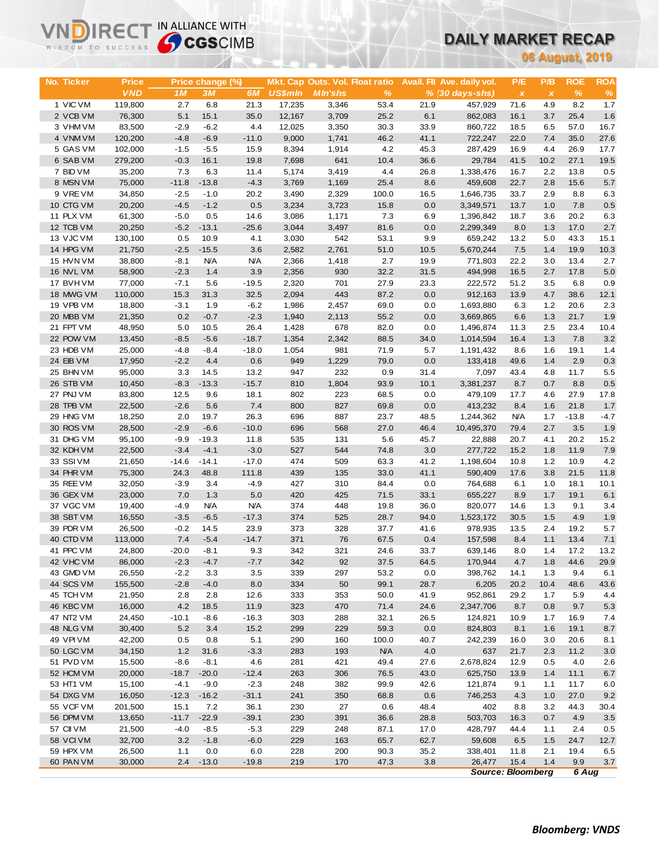# **DAILY MARKET RECAP**

| WISDOM TO SUCCESS      |                   | <b>Sy CGS</b> CIMB |                   |                   |                  |                                 |              |              | UAILT MARKET RECAP         |                    |              |                        |               |
|------------------------|-------------------|--------------------|-------------------|-------------------|------------------|---------------------------------|--------------|--------------|----------------------------|--------------------|--------------|------------------------|---------------|
|                        |                   |                    |                   |                   |                  |                                 |              |              |                            |                    |              | <b>06 August, 2019</b> |               |
|                        |                   |                    |                   |                   |                  |                                 |              |              |                            |                    |              |                        |               |
| No. Ticker             | <b>Price</b>      |                    | Price change (%)  |                   |                  | Mkt. Cap Outs. Vol. Float ratio |              |              | Avail. Fil Ave. daily vol. | P/E                | P/B          | <b>ROE</b>             | <b>ROA</b>    |
|                        | <b>VND</b>        | 1M                 | 3M                | 6M                | <b>US\$mln</b>   | <b>MIn'shs</b>                  | %            |              | $% (30 days - shs)$        | $\pmb{\chi}$       | $\pmb{\chi}$ | %                      | $\%$          |
| 1 VIC VM<br>2 VCB VM   | 119,800<br>76,300 | 2.7<br>5.1         | 6.8<br>15.1       | 21.3<br>35.0      | 17,235<br>12,167 | 3,346<br>3,709                  | 53.4<br>25.2 | 21.9<br>6.1  | 457,929<br>862,083         | 71.6<br>16.1       | 4.9<br>3.7   | 8.2<br>25.4            | 1.7<br>1.6    |
| 3 VHM VM               | 83,500            | $-2.9$             | $-6.2$            | 4.4               | 12,025           | 3,350                           | 30.3         | 33.9         | 860,722                    | 18.5               | 6.5          | 57.0                   | 16.7          |
| 4 VNM VM               | 120,200           | $-4.8$             | $-6.9$            | $-11.0$           | 9,000            | 1,741                           | 46.2         | 41.1         | 722,247                    | 22.0               | 7.4          | 35.0                   | 27.6          |
| 5 GAS VM               | 102,000           | $-1.5$             | $-5.5$            | 15.9              | 8,394            | 1,914                           | 4.2          | 45.3         | 287,429                    | 16.9               | 4.4          | 26.9                   | 17.7          |
| 6 SAB VM               | 279,200           | $-0.3$             | 16.1              | 19.8              | 7,698            | 641                             | 10.4         | 36.6         | 29,784                     | 41.5               | 10.2         | 27.1                   | 19.5          |
| 7 BID VM               | 35,200            | 7.3                | 6.3               | 11.4              | 5,174            | 3,419                           | 4.4          | 26.8         | 1,338,476                  | 16.7               | 2.2          | 13.8                   | 0.5           |
| 8 MSN VM               | 75,000            | $-11.8$            | $-13.8$           | $-4.3$            | 3,769            | 1,169                           | 25.4         | 8.6          | 459,608                    | 22.7               | 2.8          | 15.6                   | 5.7           |
| 9 VREVM                | 34,850            | $-2.5$             | $-1.0$            | 20.2              | 3,490            | 2,329                           | 100.0        | 16.5         | 1,646,735                  | 33.7               | 2.9          | 8.8                    | 6.3           |
| 10 CTG VM              | 20,200            | $-4.5$             | $-1.2$            | 0.5               | 3,234            | 3,723                           | 15.8         | 0.0          | 3,349,571                  | 13.7               | 1.0          | 7.8                    | 0.5           |
| 11 PLX VM              | 61,300            | $-5.0$             | 0.5               | 14.6              | 3,086            | 1,171                           | 7.3          | 6.9          | 1,396,842                  | 18.7               | 3.6          | 20.2                   | 6.3           |
| 12 TCB VM              | 20,250            | $-5.2$             | $-13.1$           | $-25.6$           | 3,044            | 3,497                           | 81.6         | 0.0          | 2,299,349                  | 8.0                | 1.3          | 17.0                   | 2.7           |
| 13 VJC VM              | 130,100           | 0.5                | 10.9              | 4.1               | 3,030            | 542                             | 53.1         | 9.9          | 659,242                    | 13.2               | 5.0          | 43.3                   | 15.1          |
| 14 HPG VM              | 21,750            | $-2.5$             | $-15.5$           | 3.6               | 2,582            | 2,761                           | 51.0         | 10.5         | 5,670,244                  | 7.5                | 1.4          | 19.9                   | 10.3          |
| 15 HVN VM<br>16 NVL VM | 38,800<br>58,900  | $-8.1$<br>$-2.3$   | <b>N/A</b><br>1.4 | <b>N/A</b><br>3.9 | 2,366<br>2,356   | 1,418<br>930                    | 2.7<br>32.2  | 19.9<br>31.5 | 771,803                    | 22.2               | 3.0<br>2.7   | 13.4<br>17.8           | 2.7<br>5.0    |
| 17 BVHVM               | 77,000            | $-7.1$             | 5.6               | $-19.5$           | 2,320            | 701                             | 27.9         | 23.3         | 494,998<br>222,572         | 16.5<br>51.2       | 3.5          | 6.8                    | 0.9           |
| 18 MWG VM              | 110,000           | 15.3               | 31.3              | 32.5              | 2,094            | 443                             | 87.2         | 0.0          | 912,163                    | 13.9               | 4.7          | 38.6                   | 12.1          |
| 19 VPB VM              | 18,800            | $-3.1$             | 1.9               | $-6.2$            | 1,986            | 2,457                           | 69.0         | 0.0          | 1,693,880                  | 6.3                | 1.2          | 20.6                   | 2.3           |
| 20 MBB VM              | 21,350            | 0.2                | $-0.7$            | $-2.3$            | 1,940            | 2,113                           | 55.2         | 0.0          | 3,669,865                  | 6.6                | 1.3          | 21.7                   | 1.9           |
| 21 FPT VM              | 48,950            | 5.0                | 10.5              | 26.4              | 1,428            | 678                             | 82.0         | 0.0          | 1,496,874                  | 11.3               | 2.5          | 23.4                   | 10.4          |
| 22 POW VM              | 13,450            | $-8.5$             | $-5.6$            | $-18.7$           | 1,354            | 2,342                           | 88.5         | 34.0         | 1,014,594                  | 16.4               | 1.3          | 7.8                    | 3.2           |
| 23 HDB VM              | 25,000            | $-4.8$             | $-8.4$            | $-18.0$           | 1,054            | 981                             | 71.9         | 5.7          | 1,191,432                  | 8.6                | 1.6          | 19.1                   | 1.4           |
| 24 EIB VM              | 17,950            | $-2.2$             | 4.4               | 0.6               | 949              | 1,229                           | 79.0         | 0.0          | 133,418                    | 49.6               | 1.4          | 2.9                    | 0.3           |
| 25 BHN VM              | 95,000            | 3.3                | 14.5              | 13.2              | 947              | 232                             | 0.9          | 31.4         | 7,097                      | 43.4               | 4.8          | 11.7                   | 5.5           |
| 26 STB VM              | 10,450            | $-8.3$             | $-13.3$           | $-15.7$           | 810              | 1,804                           | 93.9         | 10.1         | 3,381,237                  | 8.7                | 0.7          | 8.8                    | 0.5           |
| 27 PNJ VM              | 83,800            | 12.5               | 9.6               | 18.1              | 802              | 223                             | 68.5         | 0.0          | 479,109                    | 17.7               | 4.6          | 27.9                   | 17.8          |
| 28 TPB VM              | 22,500            | $-2.6$             | 5.6               | 7.4               | 800              | 827                             | 69.8         | 0.0          | 413,232                    | 8.4                | 1.6          | 21.8                   | 1.7           |
| 29 HNG VM<br>30 ROS VM | 18,250<br>28,500  | 2.0<br>$-2.9$      | 19.7<br>$-6.6$    | 26.3<br>$-10.0$   | 696<br>696       | 887<br>568                      | 23.7<br>27.0 | 48.5<br>46.4 | 1,244,362<br>10,495,370    | <b>N/A</b><br>79.4 | 1.7<br>2.7   | $-13.8$<br>3.5         | $-4.7$<br>1.9 |
| 31 DHG VM              | 95,100            | $-9.9$             | $-19.3$           | 11.8              | 535              | 131                             | 5.6          | 45.7         | 22,888                     | 20.7               | 4.1          | 20.2                   | 15.2          |
| 32 KDH VM              | 22,500            | $-3.4$             | $-4.1$            | $-3.0$            | 527              | 544                             | 74.8         | 3.0          | 277,722                    | 15.2               | 1.8          | 11.9                   | 7.9           |
| 33 SSIVM               | 21,650            | $-14.6$            | $-14.1$           | $-17.0$           | 474              | 509                             | 63.3         | 41.2         | 1,198,604                  | 10.8               | 1.2          | 10.9                   | 4.2           |
| 34 PHR VM              | 75,300            | 24.3               | 48.8              | 111.8             | 439              | 135                             | 33.0         | 41.1         | 590,409                    | 17.6               | 3.8          | 21.5                   | 11.8          |
| 35 REE VM              | 32,050            | $-3.9$             | 3.4               | -4.9              | 427              | 310                             | 84.4         | 0.0          | 764,688                    | 6.1                | 1.0          | 18.1                   | 10.1          |
| 36 GEX VM              | 23,000            | 7.0                | 1.3               | 5.0               | 420              | 425                             | 71.5         | 33.1         | 655,227                    | 8.9                | 1.7          | 19.1                   | 6.1           |
| 37 VGC VM              | 19,400            | $-4.9$             | <b>N/A</b>        | <b>N/A</b>        | 374              | 448                             | 19.8         | 36.0         | 820,077                    | 14.6               | 1.3          | 9.1                    | 3.4           |
| 38 SBT VM              | 16,550            | $-3.5$             | $-6.5$            | $-17.3$           | 374              | 525                             | 28.7         | 94.0         | 1,523,172                  | 30.5               | 1.5          | 4.9                    | 1.9           |
| 39 PDR VM              | 26,500            | $-0.2$             | 14.5              | 23.9              | 373              | 328                             | 37.7         | 41.6         | 978,935                    | 13.5               | 2.4          | 19.2                   | 5.7           |
| 40 CTD VM              | 113,000           | 7.4                | $-5.4$            | $-14.7$           | 371              | 76                              | 67.5         | 0.4          | 157,598                    | 8.4                | 1.1          | 13.4                   | 7.1           |
| 41 PPC VM              | 24,800            | $-20.0$            | $-8.1$            | 9.3               | 342              | 321                             | 24.6         | 33.7         | 639,146                    | 8.0                | 1.4          | 17.2                   | 13.2          |
| 42 VHC VM<br>43 GMD VM | 86,000<br>26,550  | $-2.3$<br>$-2.2$   | $-4.7$<br>3.3     | $-7.7$<br>3.5     | 342<br>339       | 92<br>297                       | 37.5<br>53.2 | 64.5<br>0.0  | 170,944<br>398,762         | 4.7<br>14.1        | 1.8<br>1.3   | 44.6<br>9.4            | 29.9<br>6.1   |
| 44 SCS VM              | 155,500           | $-2.8$             | $-4.0$            | 8.0               | 334              | 50                              | 99.1         | 28.7         | 6,205                      | 20.2               | 10.4         | 48.6                   | 43.6          |
| 45 TCH VM              | 21,950            | 2.8                | 2.8               | 12.6              | 333              | 353                             | 50.0         | 41.9         | 952,861                    | 29.2               | 1.7          | 5.9                    | 4.4           |
| 46 KBC VM              | 16,000            | 4.2                | 18.5              | 11.9              | 323              | 470                             | 71.4         | 24.6         | 2,347,706                  | 8.7                | 0.8          | 9.7                    | 5.3           |
| 47 NT2 VM              | 24,450            | $-10.1$            | $-8.6$            | $-16.3$           | 303              | 288                             | 32.1         | 26.5         | 124,821                    | 10.9               | 1.7          | 16.9                   | 7.4           |
| 48 NLG VM              | 30,400            | 5.2                | 3.4               | 15.2              | 299              | 229                             | 59.3         | 0.0          | 824,803                    | 8.1                | 1.6          | 19.1                   | 8.7           |
| 49 VPI VM              | 42,200            | 0.5                | 0.8               | 5.1               | 290              | 160                             | 100.0        | 40.7         | 242,239                    | 16.0               | 3.0          | 20.6                   | 8.1           |
| 50 LGC VM              | 34,150            | 1.2                | 31.6              | $-3.3$            | 283              | 193                             | <b>N/A</b>   | 4.0          | 637                        | 21.7               | 2.3          | 11.2                   | 3.0           |
| 51 PVD VM              | 15,500            | $-8.6$             | $-8.1$            | 4.6               | 281              | 421                             | 49.4         | 27.6         | 2,678,824                  | 12.9               | 0.5          | 4.0                    | 2.6           |
| 52 HCM VM              | 20,000            | $-18.7$            | $-20.0$           | $-12.4$           | 263              | 306                             | 76.5         | 43.0         | 625,750                    | 13.9               | 1.4          | 11.1                   | 6.7           |
| 53 HT1 VM              | 15,100            | $-4.1$             | $-9.0$            | $-2.3$            | 248              | 382                             | 99.9         | 42.6         | 121,874                    | 9.1                | 1.1          | 11.7                   | 6.0           |
| 54 DXG VM              | 16,050            | $-12.3$            | $-16.2$           | $-31.1$           | 241              | 350                             | 68.8         | 0.6          | 746,253                    | 4.3                | 1.0          | 27.0                   | 9.2           |
| 55 VCF VM<br>56 DPM VM | 201,500<br>13,650 | 15.1<br>$-11.7$    | 7.2<br>$-22.9$    | 36.1<br>$-39.1$   | 230<br>230       | 27<br>391                       | 0.6<br>36.6  | 48.4<br>28.8 | 402<br>503,703             | 8.8<br>16.3        | 3.2<br>0.7   | 44.3<br>4.9            | 30.4<br>3.5   |
| 57 CII VM              | 21,500            | $-4.0$             | $-8.5$            | $-5.3$            | 229              | 248                             | 87.1         | 17.0         | 428,797                    | 44.4               | 1.1          | 2.4                    | 0.5           |
| 58 VCIVM               | 32,700            | 3.2                | $-1.8$            | $-6.0$            | 229              | 163                             | 65.7         | 62.7         | 59,608                     | 6.5                | $1.5$        | 24.7                   | 12.7          |
| 59 HPX VM              | 26,500            | 1.1                | 0.0               | 6.0               | 228              | 200                             | 90.3         | 35.2         | 338,401                    | 11.8               | 2.1          | 19.4                   | 6.5           |
| 60 PAN VM              | 30,000            | 2.4                | $-13.0$           | $-19.8$           | 219              | 170                             | 47.3         | 3.8          | 26,477                     | 15.4               | 1.4          | 9.9                    | 3.7           |
|                        |                   |                    |                   |                   |                  |                                 |              |              | <b>Source: Bloomberg</b>   |                    |              | 6 Aug                  |               |

**VNDIRECT IN ALLIANCE WITH**